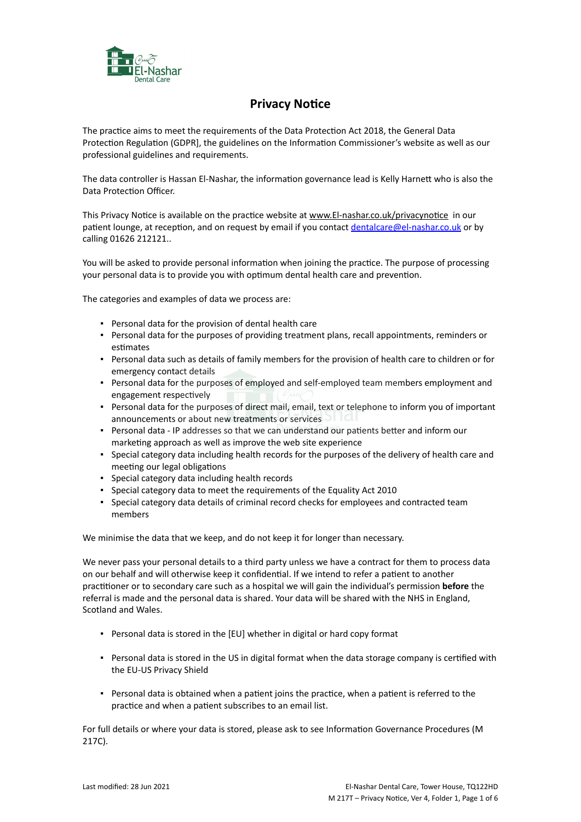

# **Privacy Notice**

The practice aims to meet the requirements of the Data Protection Act 2018, the General Data Protection Regulation (GDPR], the guidelines on the Information Commissioner's website as well as our professional guidelines and requirements.

The data controller is Hassan El-Nashar, the information governance lead is Kelly Harnett who is also the Data Protection Officer.

This Privacy Notice is available on the practice website at [www.El-nashar.co.uk/privacynotice](http://www.practice.com/) in our patient lounge, at reception, and on request by email if you contact [dentalcare@el-nashar.co.uk](mailto:dentalcare@el-nashar.co.uk) or by calling 01626 212121..

You will be asked to provide personal information when joining the practice. The purpose of processing your personal data is to provide you with optimum dental health care and prevention.

The categories and examples of data we process are:

- Personal data for the provision of dental health care
- Personal data for the purposes of providing treatment plans, recall appointments, reminders or estimates
- Personal data such as details of family members for the provision of health care to children or for emergency contact details
- Personal data for the purposes of employed and self-employed team members employment and engagement respectively
- Personal data for the purposes of direct mail, email, text or telephone to inform you of important announcements or about new treatments or services
- **Personal data IP addresses so that we can understand our patients better and inform our** marketing approach as well as improve the web site experience
- Special category data including health records for the purposes of the delivery of health care and meeting our legal obligations
- Special category data including health records
- Special category data to meet the requirements of the Equality Act 2010
- Special category data details of criminal record checks for employees and contracted team members

We minimise the data that we keep, and do not keep it for longer than necessary.

We never pass your personal details to a third party unless we have a contract for them to process data on our behalf and will otherwise keep it confidential. If we intend to refer a patient to another practitioner or to secondary care such as a hospital we will gain the individual's permission **before** the referral is made and the personal data is shared. Your data will be shared with the NHS in England, Scotland and Wales.

- Personal data is stored in the [EU] whether in digital or hard copy format
- Personal data is stored in the US in digital format when the data storage company is certified with the EU-US Privacy Shield
- Personal data is obtained when a patient joins the practice, when a patient is referred to the practice and when a patient subscribes to an email list.

For full details or where your data is stored, please ask to see Information Governance Procedures (M 217C).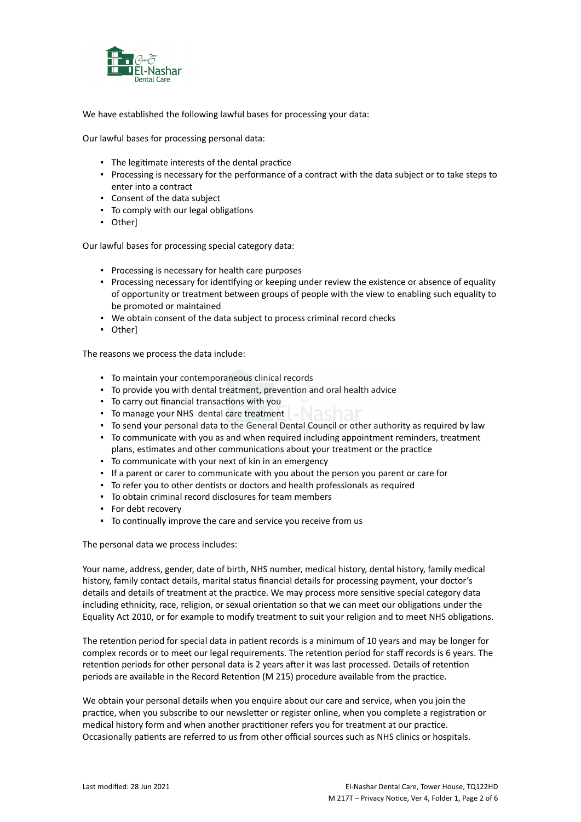

We have established the following lawful bases for processing your data:

Our lawful bases for processing personal data:

- The legitimate interests of the dental practice
- Processing is necessary for the performance of a contract with the data subject or to take steps to enter into a contract
- Consent of the data subject
- To comply with our legal obligations
- Other]

Our lawful bases for processing special category data:

- Processing is necessary for health care purposes
- Processing necessary for identifying or keeping under review the existence or absence of equality of opportunity or treatment between groups of people with the view to enabling such equality to be promoted or maintained
- We obtain consent of the data subject to process criminal record checks
- Other]

The reasons we process the data include:

- To maintain your contemporaneous clinical records
- To provide you with dental treatment, prevention and oral health advice
- To carry out financial transactions with you
- **To manage your NHS dental care treatment**  $\blacksquare$
- To send your personal data to the General Dental Council or other authority as required by law
- To communicate with you as and when required including appointment reminders, treatment plans, estimates and other communications about your treatment or the practice
- To communicate with your next of kin in an emergency
- If a parent or carer to communicate with you about the person you parent or care for
- To refer you to other dentists or doctors and health professionals as required
- To obtain criminal record disclosures for team members
- For debt recovery
- To continually improve the care and service you receive from us

The personal data we process includes:

Your name, address, gender, date of birth, NHS number, medical history, dental history, family medical history, family contact details, marital status financial details for processing payment, your doctor's details and details of treatment at the practice. We may process more sensitive special category data including ethnicity, race, religion, or sexual orientation so that we can meet our obligations under the Equality Act 2010, or for example to modify treatment to suit your religion and to meet NHS obligations.

The retention period for special data in patient records is a minimum of 10 years and may be longer for complex records or to meet our legal requirements. The retention period for staff records is 6 years. The retention periods for other personal data is 2 years after it was last processed. Details of retention periods are available in the Record Retention (M 215) procedure available from the practice.

We obtain your personal details when you enquire about our care and service, when you join the practice, when you subscribe to our newsletter or register online, when you complete a registration or medical history form and when another practitioner refers you for treatment at our practice. Occasionally patients are referred to us from other official sources such as NHS clinics or hospitals.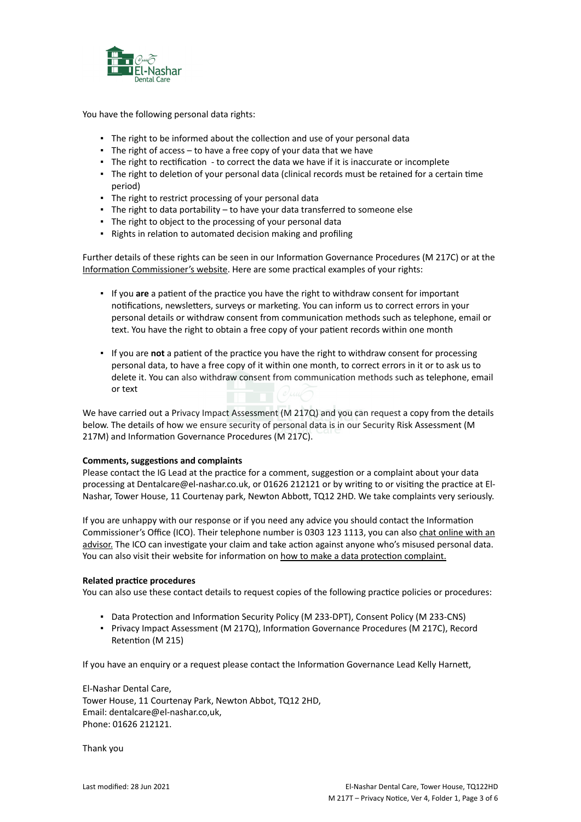

You have the following personal data rights:

- **.** The right to be informed about the collection and use of your personal data
- **•** The right of access  $-$  to have a free copy of your data that we have
- The right to rectification to correct the data we have if it is inaccurate or incomplete
- The right to deletion of your personal data (clinical records must be retained for a certain time period)
- The right to restrict processing of your personal data
- The right to data portability to have your data transferred to someone else
- The right to object to the processing of your personal data
- Rights in relation to automated decision making and profiling

Further details of these rights can be seen in our Information Governance Procedures (M 217C) or at the [Information Commissioner's website](https://ico.org.uk/for-organisations/guide-to-the-general-data-protection-regulation-gdpr/individual-rights/). Here are some practical examples of your rights:

- If you **are** a patient of the practice you have the right to withdraw consent for important notifications, newsletters, surveys or marketing. You can inform us to correct errors in your personal details or withdraw consent from communication methods such as telephone, email or text. You have the right to obtain a free copy of your patient records within one month
- If you are **not** a patient of the practice you have the right to withdraw consent for processing personal data, to have a free copy of it within one month, to correct errors in it or to ask us to delete it. You can also withdraw consent from communication methods such as telephone, email or text

We have carried out a Privacy Impact Assessment (M 217Q) and you can request a copy from the details below. The details of how we ensure security of personal data is in our Security Risk Assessment (M 217M) and Information Governance Procedures (M 217C).

### **Comments, suggestions and complaints**

Please contact the IG Lead at the practice for a comment, suggestion or a complaint about your data processing at Dentalcare@el-nashar.co.uk, or 01626 212121 or by writing to or visiting the practice at El-Nashar, Tower House, 11 Courtenay park, Newton Abbott, TQ12 2HD. We take complaints very seriously.

If you are unhappy with our response or if you need any advice you should contact the Information Commissioner's Office (ICO). Their telephone number is 0303 123 1113, you can also [chat online with an](https://ico.org.uk/global/contact-us/live-chat/) [advisor.](https://ico.org.uk/global/contact-us/live-chat/) The ICO can investigate your claim and take action against anyone who's misused personal data. You can also visit their website for information on [how to make a data protection complaint.](http://www.ico.org.uk/complaints)

### **Related practice procedures**

You can also use these contact details to request copies of the following practice policies or procedures:

- Data Protection and Information Security Policy (M 233-DPT), Consent Policy (M 233-CNS)
- Privacy Impact Assessment (M 217Q), Information Governance Procedures (M 217C), Record Retention (M 215)

If you have an enquiry or a request please contact the Information Governance Lead Kelly Harnett,

El-Nashar Dental Care, Tower House, 11 Courtenay Park, Newton Abbot, TQ12 2HD, Email: dentalcare@el-nashar.co,uk, Phone: 01626 212121.

Thank you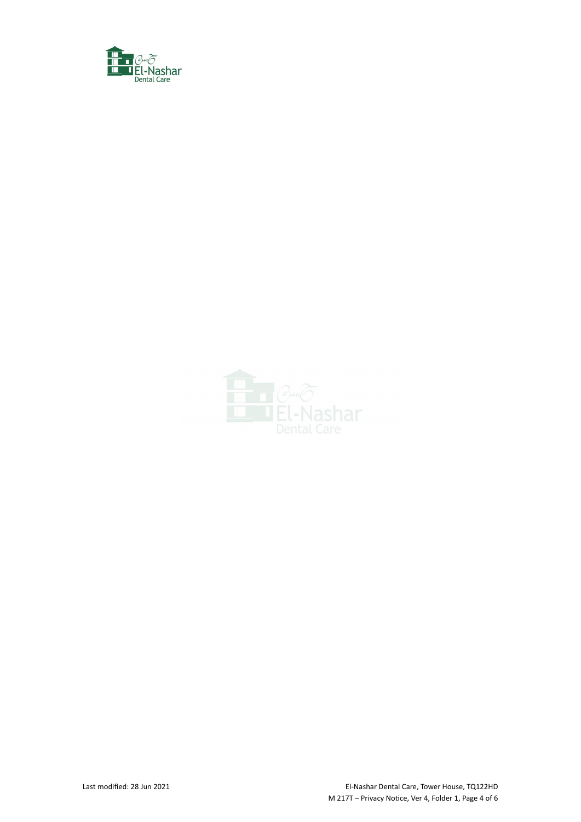

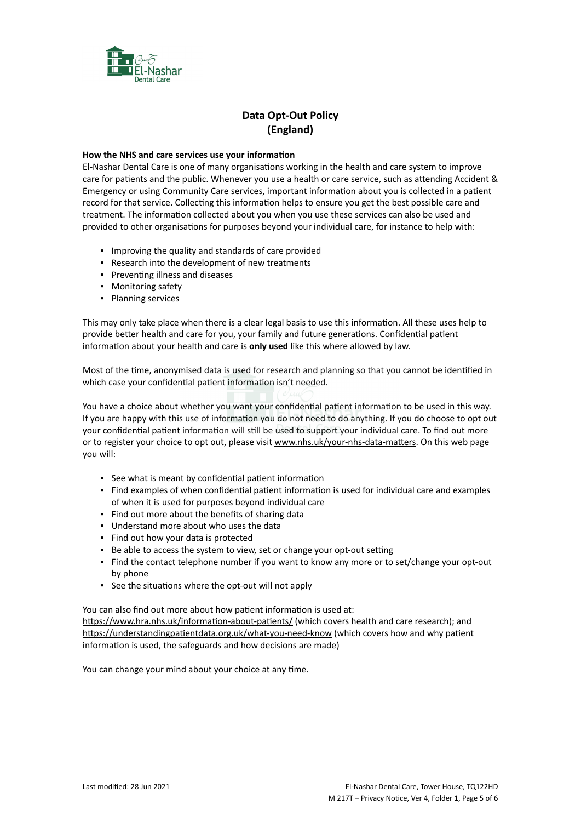

# **Data Opt-Out Policy (England)**

#### **How the NHS and care services use your information**

El-Nashar Dental Care is one of many organisations working in the health and care system to improve care for patients and the public. Whenever you use a health or care service, such as attending Accident & Emergency or using Community Care services, important information about you is collected in a patient record for that service. Collecting this information helps to ensure you get the best possible care and treatment. The information collected about you when you use these services can also be used and provided to other organisations for purposes beyond your individual care, for instance to help with:

- Improving the quality and standards of care provided
- Research into the development of new treatments
- Preventing illness and diseases
- Monitoring safety
- Planning services

This may only take place when there is a clear legal basis to use this information. All these uses help to provide better health and care for you, your family and future generations. Confidential patient information about your health and care is **only used** like this where allowed by law.

Most of the time, anonymised data is used for research and planning so that you cannot be identified in which case your confidential patient information isn't needed.

You have a choice about whether you want your confidential patient information to be used in this way. If you are happy with this use of information you do not need to do anything. If you do choose to opt out your confidential patient information will still be used to support your individual care. To find out more or to register your choice to opt out, please visit [www.nhs.uk/your-nhs-data-matters](http://www.nhs.uk/your-nhs-data-matters). On this web page you will:

- See what is meant by confidential patient information
- Find examples of when confidential patient information is used for individual care and examples of when it is used for purposes beyond individual care
- Find out more about the benefits of sharing data
- Understand more about who uses the data
- Find out how your data is protected
- Be able to access the system to view, set or change your opt-out setting
- Find the contact telephone number if you want to know any more or to set/change your opt-out by phone
- See the situations where the opt-out will not apply

You can also find out more about how patient information is used at:

[https://www.hra.nhs.uk/information-about-patients/](https://www.hra.nhs.uk/information-about-patients/%20) (which covers health and care research); and <https://understandingpatientdata.org.uk/what-you-need-know> (which covers how and why patient information is used, the safeguards and how decisions are made)

You can change your mind about your choice at any time.